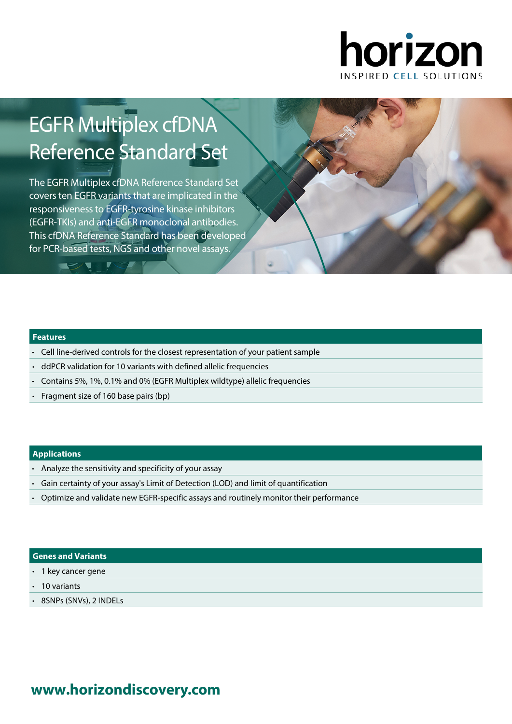

# EGFR Multiplex cfDNA Reference Standard Set

The EGFR Multiplex cfDNA Reference Standard Set covers ten EGFR variants that are implicated in the responsiveness to EGFR-tyrosine kinase inhibitors (EGFR-TKIs) and anti-EGFR monoclonal antibodies. This cfDNA Reference Standard has been developed for PCR-based tests, NGS and other novel assays.

### **Features**

**TEACHER** 

- Cell line-derived controls for the closest representation of your patient sample
- ddPCR validation for 10 variants with defined allelic frequencies
- Contains 5%, 1%, 0.1% and 0% (EGFR Multiplex wildtype) allelic frequencies
- Fragment size of 160 base pairs (bp)

### **Applications**

- Analyze the sensitivity and specificity of your assay
- Gain certainty of your assay's Limit of Detection (LOD) and limit of quantification
- Optimize and validate new EGFR-specific assays and routinely monitor their performance

### **Genes and Variants**

- 1 key cancer gene
- 10 variants
- 8SNPs (SNVs), 2 INDELs

# **www.[horizondiscovery.com](www.horizondiscovery.com?utm_source=revisit&utm_medium=pdf&utm_campaign=dx)**